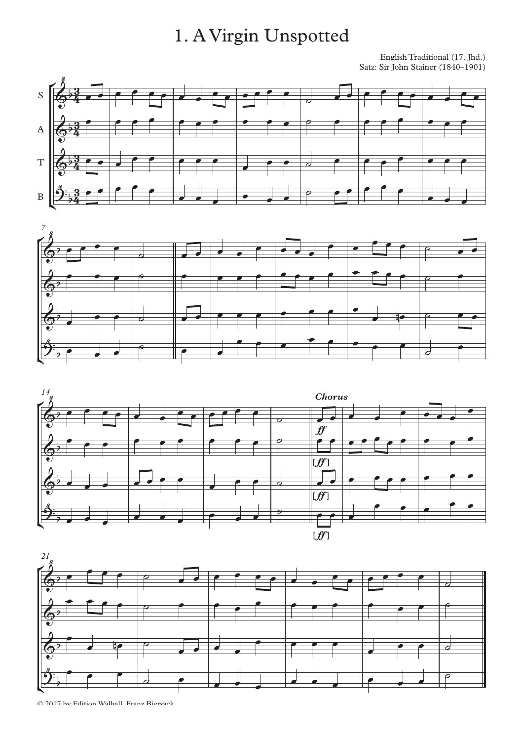# 1. A Virgin Unspotted

English Traditional (17. Jhd.) Satz: Sir John Stainer (1840–1901)









© 2017 by Edition Walhall Franz Biersack